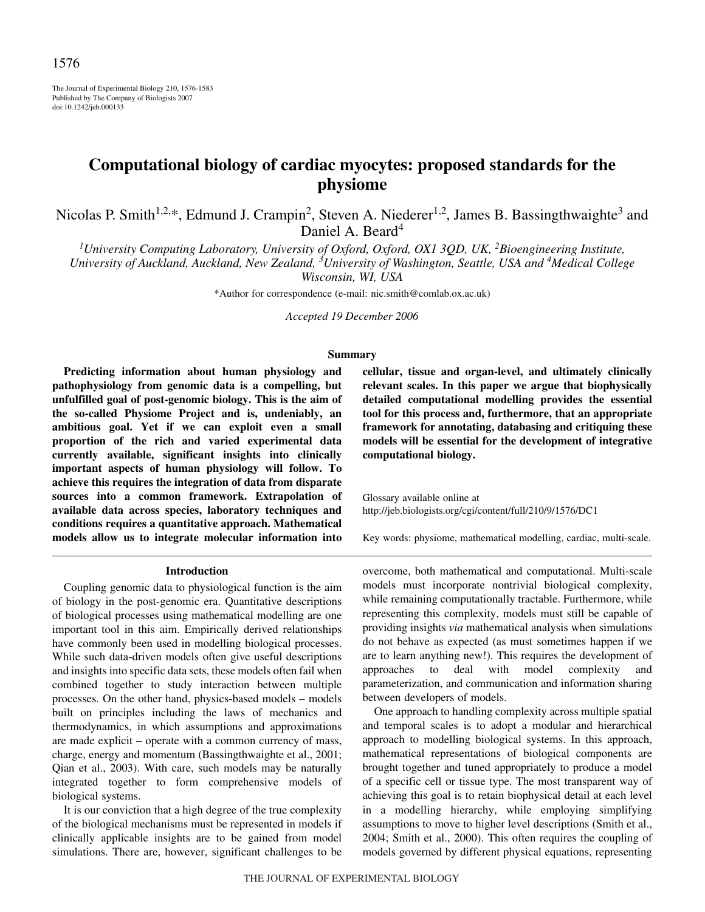The Journal of Experimental Biology 210, 1576-1583 Published by The Company of Biologists 2007 doi:10.1242/jeb.000133

# **Computational biology of cardiac myocytes: proposed standards for the physiome**

Nicolas P. Smith<sup>1,2,\*</sup>, Edmund J. Crampin<sup>2</sup>, Steven A. Niederer<sup>1,2</sup>, James B. Bassingthwaighte<sup>3</sup> and Daniel A. Beard<sup>4</sup>

<sup>1</sup>University Computing Laboratory, University of Oxford, Oxford, OX1 3QD, UK, <sup>2</sup>Bioengineering Institute, University of Auckland, Auckland, New Zealand, <sup>3</sup>University of Washington, Seattle, USA and <sup>4</sup>Medical College *Wisconsin, WI, USA*

\*Author for correspondence (e-mail: nic.smith@comlab.ox.ac.uk)

*Accepted 19 December 2006*

#### **Summary**

**Predicting information about human physiology and pathophysiology from genomic data is a compelling, but unfulfilled goal of post-genomic biology. This is the aim of the so-called Physiome Project and is, undeniably, an ambitious goal. Yet if we can exploit even a small proportion of the rich and varied experimental data currently available, significant insights into clinically important aspects of human physiology will follow. To achieve this requires the integration of data from disparate sources into a common framework. Extrapolation of available data across species, laboratory techniques and conditions requires a quantitative approach. Mathematical models allow us to integrate molecular information into**

#### **Introduction**

Coupling genomic data to physiological function is the aim of biology in the post-genomic era. Quantitative descriptions of biological processes using mathematical modelling are one important tool in this aim. Empirically derived relationships have commonly been used in modelling biological processes. While such data-driven models often give useful descriptions and insights into specific data sets, these models often fail when combined together to study interaction between multiple processes. On the other hand, physics-based models – models built on principles including the laws of mechanics and thermodynamics, in which assumptions and approximations are made explicit – operate with a common currency of mass, charge, energy and momentum (Bassingthwaighte et al., 2001; Qian et al., 2003). With care, such models may be naturally integrated together to form comprehensive models of biological systems.

It is our conviction that a high degree of the true complexity of the biological mechanisms must be represented in models if clinically applicable insights are to be gained from model simulations. There are, however, significant challenges to be

**cellular, tissue and organ-level, and ultimately clinically relevant scales. In this paper we argue that biophysically detailed computational modelling provides the essential tool for this process and, furthermore, that an appropriate framework for annotating, databasing and critiquing these models will be essential for the development of integrative computational biology.**

Glossary available online at http://jeb.biologists.org/cgi/content/full/210/9/1576/DC1

Key words: physiome, mathematical modelling, cardiac, multi-scale.

overcome, both mathematical and computational. Multi-scale models must incorporate nontrivial biological complexity, while remaining computationally tractable. Furthermore, while representing this complexity, models must still be capable of providing insights *via* mathematical analysis when simulations do not behave as expected (as must sometimes happen if we are to learn anything new!). This requires the development of approaches to deal with model complexity and parameterization, and communication and information sharing between developers of models.

One approach to handling complexity across multiple spatial and temporal scales is to adopt a modular and hierarchical approach to modelling biological systems. In this approach, mathematical representations of biological components are brought together and tuned appropriately to produce a model of a specific cell or tissue type. The most transparent way of achieving this goal is to retain biophysical detail at each level in a modelling hierarchy, while employing simplifying assumptions to move to higher level descriptions (Smith et al., 2004; Smith et al., 2000). This often requires the coupling of models governed by different physical equations, representing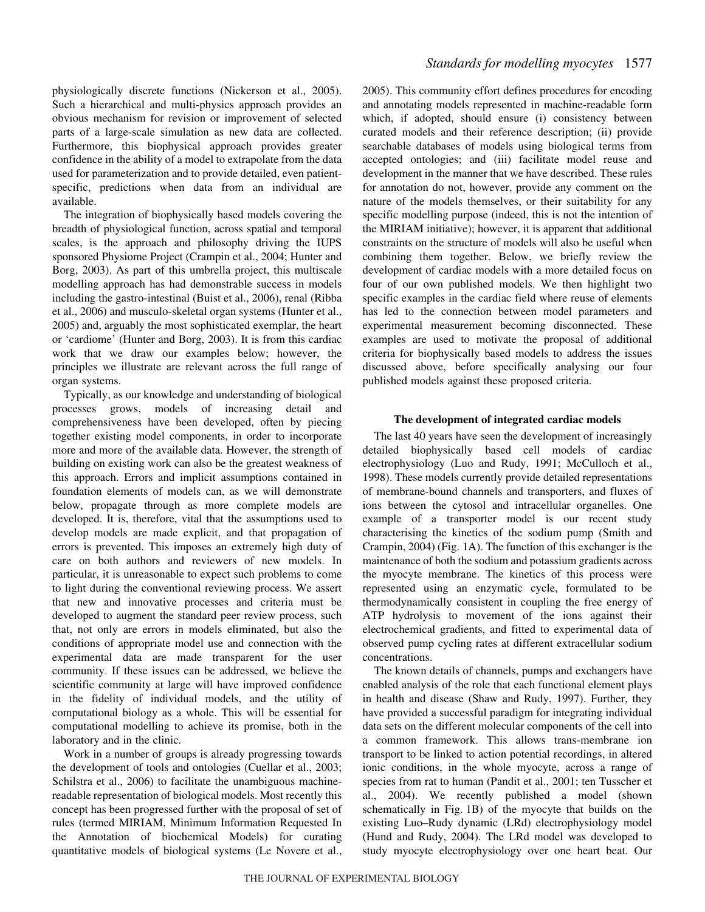physiologically discrete functions (Nickerson et al., 2005). Such a hierarchical and multi-physics approach provides an obvious mechanism for revision or improvement of selected parts of a large-scale simulation as new data are collected. Furthermore, this biophysical approach provides greater confidence in the ability of a model to extrapolate from the data used for parameterization and to provide detailed, even patientspecific, predictions when data from an individual are available.

The integration of biophysically based models covering the breadth of physiological function, across spatial and temporal scales, is the approach and philosophy driving the IUPS sponsored Physiome Project (Crampin et al., 2004; Hunter and Borg, 2003). As part of this umbrella project, this multiscale modelling approach has had demonstrable success in models including the gastro-intestinal (Buist et al., 2006), renal (Ribba et al., 2006) and musculo-skeletal organ systems (Hunter et al., 2005) and, arguably the most sophisticated exemplar, the heart or 'cardiome' (Hunter and Borg, 2003). It is from this cardiac work that we draw our examples below; however, the principles we illustrate are relevant across the full range of organ systems.

Typically, as our knowledge and understanding of biological processes grows, models of increasing detail and comprehensiveness have been developed, often by piecing together existing model components, in order to incorporate more and more of the available data. However, the strength of building on existing work can also be the greatest weakness of this approach. Errors and implicit assumptions contained in foundation elements of models can, as we will demonstrate below, propagate through as more complete models are developed. It is, therefore, vital that the assumptions used to develop models are made explicit, and that propagation of errors is prevented. This imposes an extremely high duty of care on both authors and reviewers of new models. In particular, it is unreasonable to expect such problems to come to light during the conventional reviewing process. We assert that new and innovative processes and criteria must be developed to augment the standard peer review process, such that, not only are errors in models eliminated, but also the conditions of appropriate model use and connection with the experimental data are made transparent for the user community. If these issues can be addressed, we believe the scientific community at large will have improved confidence in the fidelity of individual models, and the utility of computational biology as a whole. This will be essential for computational modelling to achieve its promise, both in the laboratory and in the clinic.

Work in a number of groups is already progressing towards the development of tools and ontologies (Cuellar et al., 2003; Schilstra et al., 2006) to facilitate the unambiguous machinereadable representation of biological models. Most recently this concept has been progressed further with the proposal of set of rules (termed MIRIAM, Minimum Information Requested In the Annotation of biochemical Models) for curating quantitative models of biological systems (Le Novere et al., 2005). This community effort defines procedures for encoding and annotating models represented in machine-readable form which, if adopted, should ensure (i) consistency between curated models and their reference description; (ii) provide searchable databases of models using biological terms from accepted ontologies; and (iii) facilitate model reuse and development in the manner that we have described. These rules for annotation do not, however, provide any comment on the nature of the models themselves, or their suitability for any specific modelling purpose (indeed, this is not the intention of the MIRIAM initiative); however, it is apparent that additional constraints on the structure of models will also be useful when combining them together. Below, we briefly review the development of cardiac models with a more detailed focus on four of our own published models. We then highlight two specific examples in the cardiac field where reuse of elements has led to the connection between model parameters and experimental measurement becoming disconnected. These examples are used to motivate the proposal of additional criteria for biophysically based models to address the issues discussed above, before specifically analysing our four published models against these proposed criteria.

## **The development of integrated cardiac models**

The last 40 years have seen the development of increasingly detailed biophysically based cell models of cardiac electrophysiology (Luo and Rudy, 1991; McCulloch et al., 1998). These models currently provide detailed representations of membrane-bound channels and transporters, and fluxes of ions between the cytosol and intracellular organelles. One example of a transporter model is our recent study characterising the kinetics of the sodium pump (Smith and Crampin,  $2004$ ) (Fig. 1A). The function of this exchanger is the maintenance of both the sodium and potassium gradients across the myocyte membrane. The kinetics of this process were represented using an enzymatic cycle, formulated to be thermodynamically consistent in coupling the free energy of ATP hydrolysis to movement of the ions against their electrochemical gradients, and fitted to experimental data of observed pump cycling rates at different extracellular sodium concentrations.

The known details of channels, pumps and exchangers have enabled analysis of the role that each functional element plays in health and disease (Shaw and Rudy, 1997). Further, they have provided a successful paradigm for integrating individual data sets on the different molecular components of the cell into a common framework. This allows trans-membrane ion transport to be linked to action potential recordings, in altered ionic conditions, in the whole myocyte, across a range of species from rat to human (Pandit et al., 2001; ten Tusscher et al., 2004). We recently published a model (shown schematically in Fig. 1B) of the myocyte that builds on the existing Luo–Rudy dynamic (LRd) electrophysiology model (Hund and Rudy, 2004). The LRd model was developed to study myocyte electrophysiology over one heart beat. Our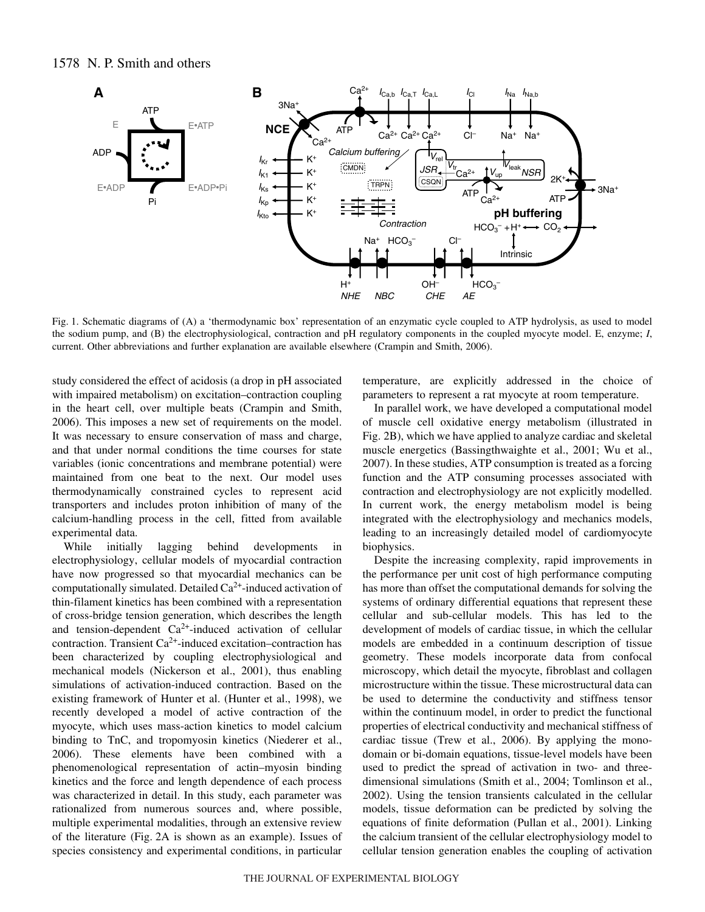

Fig. 1. Schematic diagrams of (A) a 'thermodynamic box' representation of an enzymatic cycle coupled to ATP hydrolysis, as used to model the sodium pump, and (B) the electrophysiological, contraction and pH regulatory components in the coupled myocyte model. E, enzyme; *I*, current. Other abbreviations and further explanation are available elsewhere (Crampin and Smith, 2006).

study considered the effect of acidosis (a drop in pH associated with impaired metabolism) on excitation–contraction coupling in the heart cell, over multiple beats (Crampin and Smith, 2006). This imposes a new set of requirements on the model. It was necessary to ensure conservation of mass and charge, and that under normal conditions the time courses for state variables (ionic concentrations and membrane potential) were maintained from one beat to the next. Our model uses thermodynamically constrained cycles to represent acid transporters and includes proton inhibition of many of the calcium-handling process in the cell, fitted from available experimental data.

While initially lagging behind developments in electrophysiology, cellular models of myocardial contraction have now progressed so that myocardial mechanics can be computationally simulated. Detailed  $Ca^{2+}$ -induced activation of thin-filament kinetics has been combined with a representation of cross-bridge tension generation, which describes the length and tension-dependent  $Ca^{2+}$ -induced activation of cellular contraction. Transient  $Ca^{2+}$ -induced excitation–contraction has been characterized by coupling electrophysiological and mechanical models (Nickerson et al., 2001), thus enabling simulations of activation-induced contraction. Based on the existing framework of Hunter et al. (Hunter et al., 1998), we recently developed a model of active contraction of the myocyte, which uses mass-action kinetics to model calcium binding to TnC, and tropomyosin kinetics (Niederer et al., 2006). These elements have been combined with a phenomenological representation of actin–myosin binding kinetics and the force and length dependence of each process was characterized in detail. In this study, each parameter was rationalized from numerous sources and, where possible, multiple experimental modalities, through an extensive review of the literature (Fig. 2A is shown as an example). Issues of species consistency and experimental conditions, in particular

temperature, are explicitly addressed in the choice of parameters to represent a rat myocyte at room temperature.

In parallel work, we have developed a computational model of muscle cell oxidative energy metabolism (illustrated in Fig. 2B), which we have applied to analyze cardiac and skeletal muscle energetics (Bassingthwaighte et al., 2001; Wu et al., 2007). In these studies, ATP consumption is treated as a forcing function and the ATP consuming processes associated with contraction and electrophysiology are not explicitly modelled. In current work, the energy metabolism model is being integrated with the electrophysiology and mechanics models, leading to an increasingly detailed model of cardiomyocyte biophysics.

Despite the increasing complexity, rapid improvements in the performance per unit cost of high performance computing has more than offset the computational demands for solving the systems of ordinary differential equations that represent these cellular and sub-cellular models. This has led to the development of models of cardiac tissue, in which the cellular models are embedded in a continuum description of tissue geometry. These models incorporate data from confocal microscopy, which detail the myocyte, fibroblast and collagen microstructure within the tissue. These microstructural data can be used to determine the conductivity and stiffness tensor within the continuum model, in order to predict the functional properties of electrical conductivity and mechanical stiffness of cardiac tissue (Trew et al., 2006). By applying the monodomain or bi-domain equations, tissue-level models have been used to predict the spread of activation in two- and threedimensional simulations (Smith et al., 2004; Tomlinson et al., 2002). Using the tension transients calculated in the cellular models, tissue deformation can be predicted by solving the equations of finite deformation (Pullan et al., 2001). Linking the calcium transient of the cellular electrophysiology model to cellular tension generation enables the coupling of activation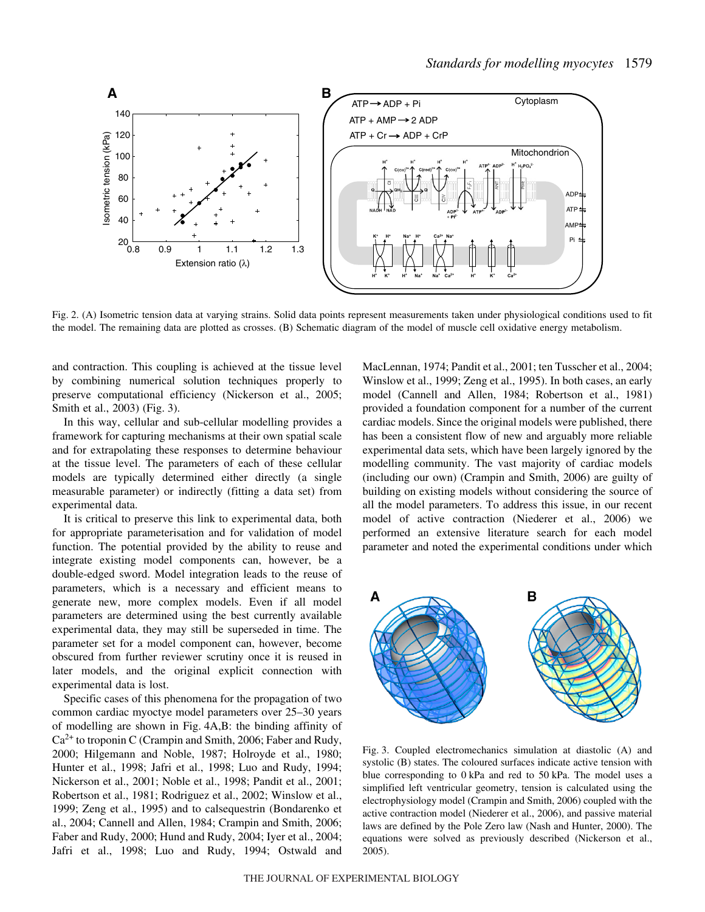

Fig. 2. (A) Isometric tension data at varying strains. Solid data points represent measurements taken under physiological conditions used to fit the model. The remaining data are plotted as crosses. (B) Schematic diagram of the model of muscle cell oxidative energy metabolism.

and contraction. This coupling is achieved at the tissue level by combining numerical solution techniques properly to preserve computational efficiency (Nickerson et al., 2005; Smith et al., 2003) (Fig. 3).

In this way, cellular and sub-cellular modelling provides a framework for capturing mechanisms at their own spatial scale and for extrapolating these responses to determine behaviour at the tissue level. The parameters of each of these cellular models are typically determined either directly (a single measurable parameter) or indirectly (fitting a data set) from experimental data.

It is critical to preserve this link to experimental data, both for appropriate parameterisation and for validation of model function. The potential provided by the ability to reuse and integrate existing model components can, however, be a double-edged sword. Model integration leads to the reuse of parameters, which is a necessary and efficient means to generate new, more complex models. Even if all model parameters are determined using the best currently available experimental data, they may still be superseded in time. The parameter set for a model component can, however, become obscured from further reviewer scrutiny once it is reused in later models, and the original explicit connection with experimental data is lost.

Specific cases of this phenomena for the propagation of two common cardiac myoctye model parameters over 25–30 years of modelling are shown in Fig. 4A,B: the binding affinity of  $Ca<sup>2+</sup>$  to troponin C (Crampin and Smith, 2006; Faber and Rudy, 2000; Hilgemann and Noble, 1987; Holroyde et al., 1980; Hunter et al., 1998; Jafri et al., 1998; Luo and Rudy, 1994; Nickerson et al., 2001; Noble et al., 1998; Pandit et al., 2001; Robertson et al., 1981; Rodriguez et al., 2002; Winslow et al., 1999; Zeng et al., 1995) and to calsequestrin (Bondarenko et al., 2004; Cannell and Allen, 1984; Crampin and Smith, 2006; Faber and Rudy, 2000; Hund and Rudy, 2004; Iyer et al., 2004; Jafri et al., 1998; Luo and Rudy, 1994; Ostwald and MacLennan, 1974; Pandit et al., 2001; ten Tusscher et al., 2004; Winslow et al., 1999; Zeng et al., 1995). In both cases, an early model (Cannell and Allen, 1984; Robertson et al., 1981) provided a foundation component for a number of the current cardiac models. Since the original models were published, there has been a consistent flow of new and arguably more reliable experimental data sets, which have been largely ignored by the modelling community. The vast majority of cardiac models (including our own) (Crampin and Smith, 2006) are guilty of building on existing models without considering the source of all the model parameters. To address this issue, in our recent model of active contraction (Niederer et al., 2006) we performed an extensive literature search for each model parameter and noted the experimental conditions under which



Fig. 3. Coupled electromechanics simulation at diastolic (A) and systolic (B) states. The coloured surfaces indicate active tension with blue corresponding to  $0 \text{ kPa}$  and red to  $50 \text{ kPa}$ . The model uses a simplified left ventricular geometry, tension is calculated using the electrophysiology model (Crampin and Smith, 2006) coupled with the active contraction model (Niederer et al., 2006), and passive material laws are defined by the Pole Zero law (Nash and Hunter, 2000). The equations were solved as previously described (Nickerson et al., 2005).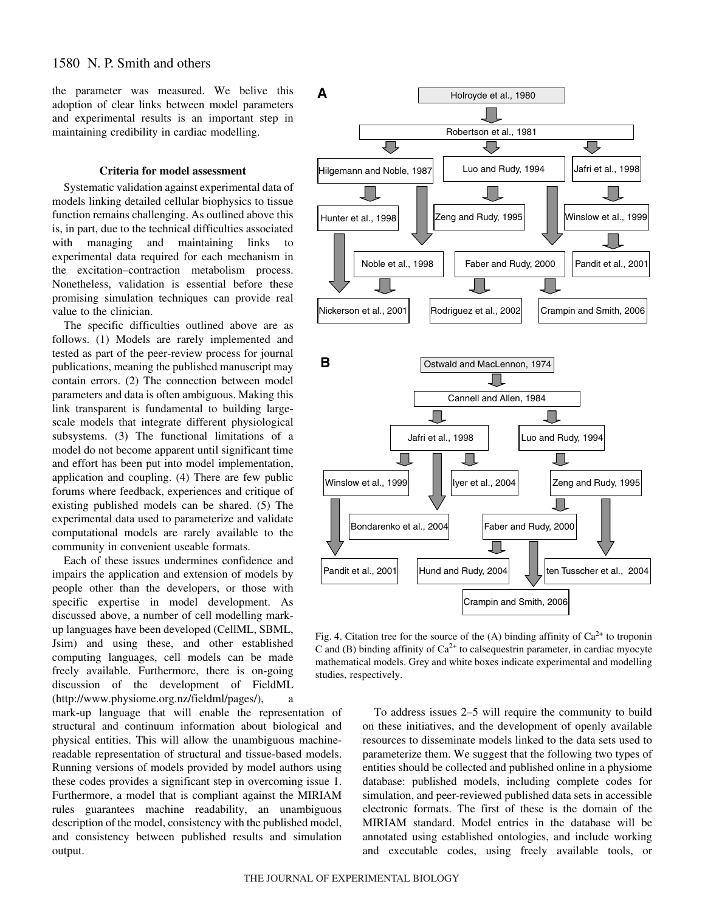the parameter was measured. We belive this adoption of clear links between model parameters and experimental results is an important step in maintaining credibility in cardiac modelling.

### **Criteria for model assessment**

Systematic validation against experimental data of models linking detailed cellular biophysics to tissue function remains challenging. As outlined above this is, in part, due to the technical difficulties associated with managing and maintaining links to experimental data required for each mechanism in the excitation–contraction metabolism process. Nonetheless, validation is essential before these promising simulation techniques can provide real value to the clinician.

The specific difficulties outlined above are as follows. (1) Models are rarely implemented and tested as part of the peer-review process for journal publications, meaning the published manuscript may contain errors. (2) The connection between model parameters and data is often ambiguous. Making this link transparent is fundamental to building largescale models that integrate different physiological subsystems. (3) The functional limitations of a model do not become apparent until significant time and effort has been put into model implementation, application and coupling. (4) There are few public forums where feedback, experiences and critique of existing published models can be shared. (5) The experimental data used to parameterize and validate computational models are rarely available to the community in convenient useable formats.

Each of these issues undermines confidence and impairs the application and extension of models by people other than the developers, or those with specific expertise in model development. As discussed above, a number of cell modelling markup languages have been developed (CellML, SBML, Jsim) and using these, and other established computing languages, cell models can be made freely available. Furthermore, there is on-going discussion of the development of FieldML (http://www.physiome.org.nz/fieldml/pages/), a

mark-up language that will enable the representation of structural and continuum information about biological and physical entities. This will allow the unambiguous machinereadable representation of structural and tissue-based models. Running versions of models provided by model authors using these codes provides a significant step in overcoming issue 1. Furthermore, a model that is compliant against the MIRIAM rules guarantees machine readability, an unambiguous description of the model, consistency with the published model, and consistency between published results and simulation output.



Fig. 4. Citation tree for the source of the (A) binding affinity of  $Ca^{2+}$  to troponin C and (B) binding affinity of  $Ca^{2+}$  to calsequestrin parameter, in cardiac myocyte mathematical models. Grey and white boxes indicate experimental and modelling studies, respectively.

To address issues 2–5 will require the community to build on these initiatives, and the development of openly available resources to disseminate models linked to the data sets used to parameterize them. We suggest that the following two types of entities should be collected and published online in a physiome database: published models, including complete codes for simulation, and peer-reviewed published data sets in accessible electronic formats. The first of these is the domain of the MIRIAM standard. Model entries in the database will be annotated using established ontologies, and include working and executable codes, using freely available tools, or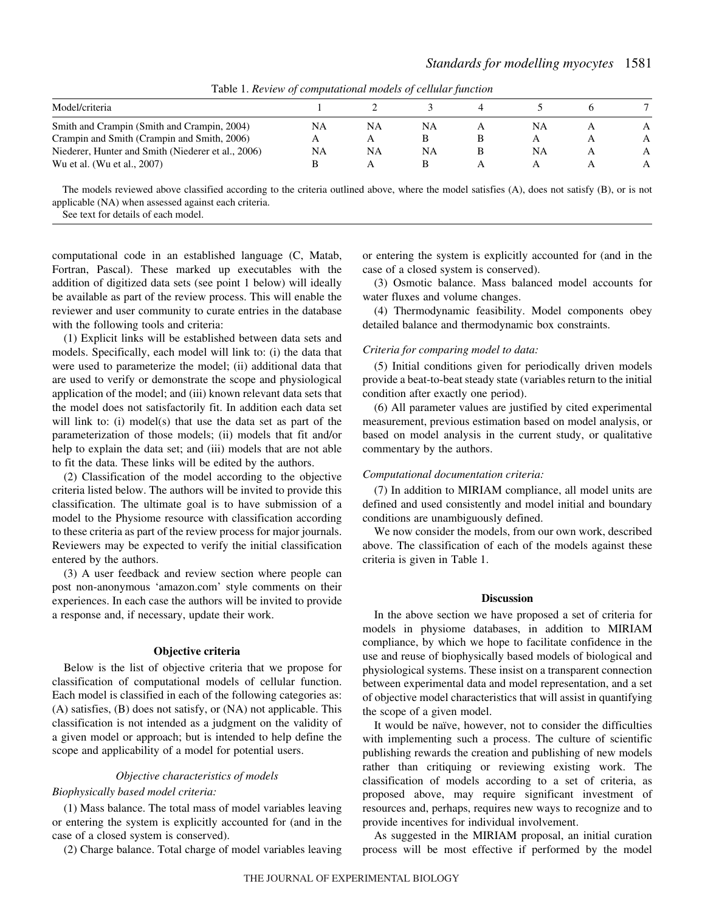| Model/criteria                                     |    |    |     |    |   |
|----------------------------------------------------|----|----|-----|----|---|
| Smith and Crampin (Smith and Crampin, 2004)        | NA | NΑ | NΑ  | ΝA |   |
| Crampin and Smith (Crampin and Smith, 2006)        |    |    |     |    |   |
| Niederer, Hunter and Smith (Niederer et al., 2006) | NA | NA | NA. | NΑ | А |
| Wu et al. (Wu et al., 2007)                        |    |    |     |    | А |

Table 1. *Review of computational models of cellular function* 

The models reviewed above classified according to the criteria outlined above, where the model satisfies (A), does not satisfy (B), or is not applicable (NA) when assessed against each criteria.

See text for details of each model.

computational code in an established language (C, Matab, Fortran, Pascal). These marked up executables with the addition of digitized data sets (see point 1 below) will ideally be available as part of the review process. This will enable the reviewer and user community to curate entries in the database with the following tools and criteria:

(1) Explicit links will be established between data sets and models. Specifically, each model will link to: (i) the data that were used to parameterize the model; (ii) additional data that are used to verify or demonstrate the scope and physiological application of the model; and (iii) known relevant data sets that the model does not satisfactorily fit. In addition each data set will link to: (i) model(s) that use the data set as part of the parameterization of those models; (ii) models that fit and/or help to explain the data set; and (iii) models that are not able to fit the data. These links will be edited by the authors.

(2) Classification of the model according to the objective criteria listed below. The authors will be invited to provide this classification. The ultimate goal is to have submission of a model to the Physiome resource with classification according to these criteria as part of the review process for major journals. Reviewers may be expected to verify the initial classification entered by the authors.

(3) A user feedback and review section where people can post non-anonymous 'amazon.com' style comments on their experiences. In each case the authors will be invited to provide a response and, if necessary, update their work.

#### **Objective criteria**

Below is the list of objective criteria that we propose for classification of computational models of cellular function. Each model is classified in each of the following categories as: (A) satisfies, (B) does not satisfy, or (NA) not applicable. This classification is not intended as a judgment on the validity of a given model or approach; but is intended to help define the scope and applicability of a model for potential users.

## *Objective characteristics of models*

## *Biophysically based model criteria:*

(1) Mass balance. The total mass of model variables leaving or entering the system is explicitly accounted for (and in the case of a closed system is conserved).

(2) Charge balance. Total charge of model variables leaving

or entering the system is explicitly accounted for (and in the case of a closed system is conserved).

(3) Osmotic balance. Mass balanced model accounts for water fluxes and volume changes.

(4) Thermodynamic feasibility. Model components obey detailed balance and thermodynamic box constraints.

#### *Criteria for comparing model to data:*

(5) Initial conditions given for periodically driven models provide a beat-to-beat steady state (variables return to the initial condition after exactly one period).

(6) All parameter values are justified by cited experimental measurement, previous estimation based on model analysis, or based on model analysis in the current study, or qualitative commentary by the authors.

### *Computational documentation criteria:*

(7) In addition to MIRIAM compliance, all model units are defined and used consistently and model initial and boundary conditions are unambiguously defined.

We now consider the models, from our own work, described above. The classification of each of the models against these criteria is given in Table 1.

#### **Discussion**

In the above section we have proposed a set of criteria for models in physiome databases, in addition to MIRIAM compliance, by which we hope to facilitate confidence in the use and reuse of biophysically based models of biological and physiological systems. These insist on a transparent connection between experimental data and model representation, and a set of objective model characteristics that will assist in quantifying the scope of a given model.

It would be naïve, however, not to consider the difficulties with implementing such a process. The culture of scientific publishing rewards the creation and publishing of new models rather than critiquing or reviewing existing work. The classification of models according to a set of criteria, as proposed above, may require significant investment of resources and, perhaps, requires new ways to recognize and to provide incentives for individual involvement.

As suggested in the MIRIAM proposal, an initial curation process will be most effective if performed by the model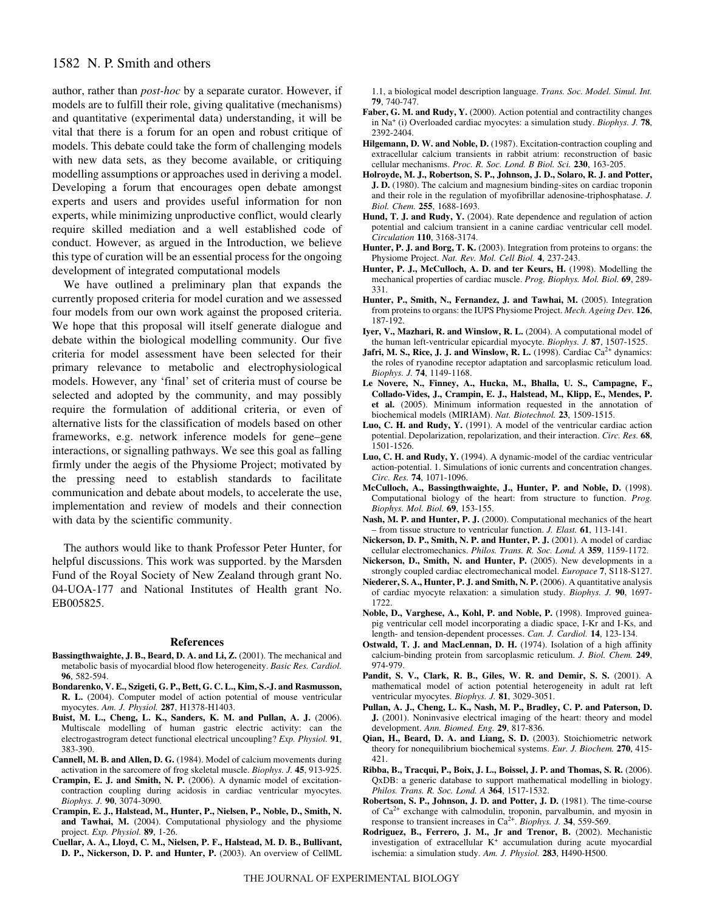## 1582 N. P. Smith and others

author, rather than *post-hoc* by a separate curator. However, if models are to fulfill their role, giving qualitative (mechanisms) and quantitative (experimental data) understanding, it will be vital that there is a forum for an open and robust critique of models. This debate could take the form of challenging models with new data sets, as they become available, or critiquing modelling assumptions or approaches used in deriving a model. Developing a forum that encourages open debate amongst experts and users and provides useful information for non experts, while minimizing unproductive conflict, would clearly require skilled mediation and a well established code of conduct. However, as argued in the Introduction, we believe this type of curation will be an essential process for the ongoing development of integrated computational models

We have outlined a preliminary plan that expands the currently proposed criteria for model curation and we assessed four models from our own work against the proposed criteria. We hope that this proposal will itself generate dialogue and debate within the biological modelling community. Our five criteria for model assessment have been selected for their primary relevance to metabolic and electrophysiological models. However, any 'final' set of criteria must of course be selected and adopted by the community, and may possibly require the formulation of additional criteria, or even of alternative lists for the classification of models based on other frameworks, e.g. network inference models for gene–gene interactions, or signalling pathways. We see this goal as falling firmly under the aegis of the Physiome Project; motivated by the pressing need to establish standards to facilitate communication and debate about models, to accelerate the use, implementation and review of models and their connection with data by the scientific community.

The authors would like to thank Professor Peter Hunter, for helpful discussions. This work was supported. by the Marsden Fund of the Royal Society of New Zealand through grant No. 04-UOA-177 and National Institutes of Health grant No. EB005825.

#### **References**

- **Bassingthwaighte, J. B., Beard, D. A. and Li, Z.** (2001). The mechanical and metabolic basis of myocardial blood flow heterogeneity. *Basic Res. Cardiol.* **96**, 582-594.
- **Bondarenko, V. E., Szigeti, G. P., Bett, G. C. L., Kim, S.-J. and Rasmusson, R. L.** (2004). Computer model of action potential of mouse ventricular myocytes. *Am. J. Physiol.* **287**, H1378-H1403.
- **Buist, M. L., Cheng, L. K., Sanders, K. M. and Pullan, A. J.** (2006). Multiscale modelling of human gastric electric activity: can the electrogastrogram detect functional electrical uncoupling? *Exp. Physiol.* **91**, 383-390.
- **Cannell, M. B. and Allen, D. G.** (1984). Model of calcium movements during activation in the sarcomere of frog skeletal muscle. *Biophys. J.* **45**, 913-925.
- **Crampin, E. J. and Smith, N. P.** (2006). A dynamic model of excitationcontraction coupling during acidosis in cardiac ventricular myocytes. *Biophys. J.* **90**, 3074-3090.
- **Crampin, E. J., Halstead, M., Hunter, P., Nielsen, P., Noble, D., Smith, N. and Tawhai, M.** (2004). Computational physiology and the physiome project. *Exp. Physiol.* **89**, 1-26.
- **Cuellar, A. A., Lloyd, C. M., Nielsen, P. F., Halstead, M. D. B., Bullivant, D. P., Nickerson, D. P. and Hunter, P.** (2003). An overview of CellML

1.1, a biological model description language. *Trans. Soc. Model. Simul. Int.* **79**, 740-747.

- Faber, G. M. and Rudy, Y. (2000). Action potential and contractility changes in Na+ (i) Overloaded cardiac myocytes: a simulation study. *Biophys. J.* **78**, 2392-2404.
- **Hilgemann, D. W. and Noble, D.** (1987). Excitation-contraction coupling and extracellular calcium transients in rabbit atrium: reconstruction of basic cellular mechanisms. *Proc. R. Soc. Lond. B Biol. Sci.* **230**, 163-205.
- **Holroyde, M. J., Robertson, S. P., Johnson, J. D., Solaro, R. J. and Potter, J. D.** (1980). The calcium and magnesium binding-sites on cardiac troponin and their role in the regulation of myofibrillar adenosine-triphosphatase. *J. Biol. Chem.* **255**, 1688-1693.
- **Hund, T. J. and Rudy, Y.** (2004). Rate dependence and regulation of action potential and calcium transient in a canine cardiac ventricular cell model. *Circulation* **110**, 3168-3174.
- **Hunter, P. J. and Borg, T. K.** (2003). Integration from proteins to organs: the Physiome Project. *Nat. Rev. Mol. Cell Biol.* **4**, 237-243.
- **Hunter, P. J., McCulloch, A. D. and ter Keurs, H.** (1998). Modelling the mechanical properties of cardiac muscle. *Prog. Biophys. Mol. Biol.* **69**, 289- 331.
- **Hunter, P., Smith, N., Fernandez, J. and Tawhai, M.** (2005). Integration from proteins to organs: the IUPS Physiome Project. *Mech. Ageing Dev.* **126**, 187-192.
- **Iyer, V., Mazhari, R. and Winslow, R. L.** (2004). A computational model of the human left-ventricular epicardial myocyte. *Biophys. J.* **87**, 1507-1525.
- **Jafri, M. S., Rice, J. J. and Winslow, R. L.** (1998). Cardiac  $Ca^{2+}$  dynamics: the roles of ryanodine receptor adaptation and sarcoplasmic reticulum load. *Biophys. J.* **74**, 1149-1168.
- **Le Novere, N., Finney, A., Hucka, M., Bhalla, U. S., Campagne, F., Collado-Vides, J., Crampin, E. J., Halstead, M., Klipp, E., Mendes, P. et al.** (2005). Minimum information requested in the annotation of biochemical models (MIRIAM). *Nat. Biotechnol.* **23**, 1509-1515.
- **Luo, C. H. and Rudy, Y.** (1991). A model of the ventricular cardiac action potential. Depolarization, repolarization, and their interaction. *Circ. Res.* **68**, 1501-1526.
- **Luo, C. H. and Rudy, Y.** (1994). A dynamic-model of the cardiac ventricular action-potential. 1. Simulations of ionic currents and concentration changes. *Circ. Res.* **74**, 1071-1096.
- **McCulloch, A., Bassingthwaighte, J., Hunter, P. and Noble, D.** (1998). Computational biology of the heart: from structure to function. *Prog. Biophys. Mol. Biol.* **69**, 153-155.
- **Nash, M. P. and Hunter, P. J.** (2000). Computational mechanics of the heart – from tissue structure to ventricular function. *J. Elast.* **61**, 113-141.
- **Nickerson, D. P., Smith, N. P. and Hunter, P. J.** (2001). A model of cardiac cellular electromechanics. *Philos. Trans. R. Soc. Lond. A* **359**, 1159-1172.
- **Nickerson, D., Smith, N. and Hunter, P.** (2005). New developments in a strongly coupled cardiac electromechanical model. *Europace* **7**, S118-S127.
- **Niederer, S. A., Hunter, P. J. and Smith, N. P.** (2006). A quantitative analysis of cardiac myocyte relaxation: a simulation study. *Biophys. J.* **90**, 1697- 1722.
- **Noble, D., Varghese, A., Kohl, P. and Noble, P.** (1998). Improved guineapig ventricular cell model incorporating a diadic space, I-Kr and I-Ks, and length- and tension-dependent processes. *Can. J. Cardiol.* **14**, 123-134.
- **Ostwald, T. J. and MacLennan, D. H.** (1974). Isolation of a high affinity calcium-binding protein from sarcoplasmic reticulum. *J. Biol. Chem.* **249**, 974-979.
- **Pandit, S. V., Clark, R. B., Giles, W. R. and Demir, S. S.** (2001). A mathematical model of action potential heterogeneity in adult rat left ventricular myocytes. *Biophys. J.* **81**, 3029-3051.
- **Pullan, A. J., Cheng, L. K., Nash, M. P., Bradley, C. P. and Paterson, D. J.** (2001). Noninvasive electrical imaging of the heart: theory and model development. *Ann. Biomed. Eng.* **29**, 817-836.
- **Qian, H., Beard, D. A. and Liang, S. D.** (2003). Stoichiometric network theory for nonequilibrium biochemical systems. *Eur. J. Biochem.* **270**, 415- 421.
- **Ribba, B., Tracqui, P., Boix, J. L., Boissel, J. P. and Thomas, S. R.** (2006). QxDB: a generic database to support mathematical modelling in biology. *Philos. Trans. R. Soc. Lond. A* **364**, 1517-1532.
- **Robertson, S. P., Johnson, J. D. and Potter, J. D.** (1981). The time-course of Ca2+ exchange with calmodulin, troponin, parvalbumin, and myosin in response to transient increases in Ca2+. *Biophys. J.* **34**, 559-569.
- **Rodriguez, B., Ferrero, J. M., Jr and Trenor, B.** (2002). Mechanistic investigation of extracellular  $K^+$  accumulation during acute myocardial ischemia: a simulation study. *Am. J. Physiol.* **283**, H490-H500.